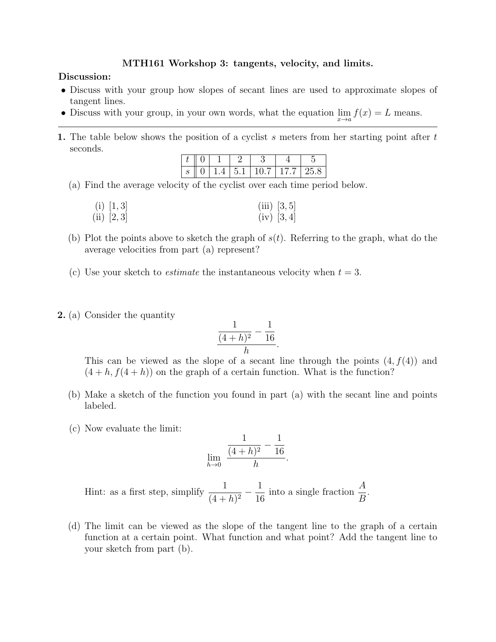## MTH161 Workshop 3: tangents, velocity, and limits.

## Discussion:

- Discuss with your group how slopes of secant lines are used to approximate slopes of tangent lines.
- Discuss with your group, in your own words, what the equation  $\lim_{x\to a} f(x) = L$  means.
- 1. The table below shows the position of a cyclist s meters from her starting point after  $t$ seconds.

|  |  | (1177) |  |
|--|--|--------|--|

(a) Find the average velocity of the cyclist over each time period below.

| (i) [1, 3] | (iii) $[3, 5]$ |
|------------|----------------|
| (ii) [2,3] | (iv) [3, 4]    |

- (b) Plot the points above to sketch the graph of  $s(t)$ . Referring to the graph, what do the average velocities from part (a) represent?
- (c) Use your sketch to *estimate* the instantaneous velocity when  $t = 3$ .
- 2. (a) Consider the quantity

$$
\frac{\frac{1}{(4+h)^2} - \frac{1}{16}}{h}
$$

This can be viewed as the slope of a secant line through the points  $(4, f(4))$  and  $(4 + h, f(4 + h))$  on the graph of a certain function. What is the function?

.

- (b) Make a sketch of the function you found in part (a) with the secant line and points labeled.
- (c) Now evaluate the limit:

$$
\lim_{h \to 0} \frac{\frac{1}{(4+h)^2} - \frac{1}{16}}{h}.
$$

Hint: as a first step, simplify  $\frac{1}{(1+i)}$  $\frac{1}{(4+h)^2} - \frac{1}{16}$ 16 into a single fraction  $\frac{A}{B}$ B .

(d) The limit can be viewed as the slope of the tangent line to the graph of a certain function at a certain point. What function and what point? Add the tangent line to your sketch from part (b).